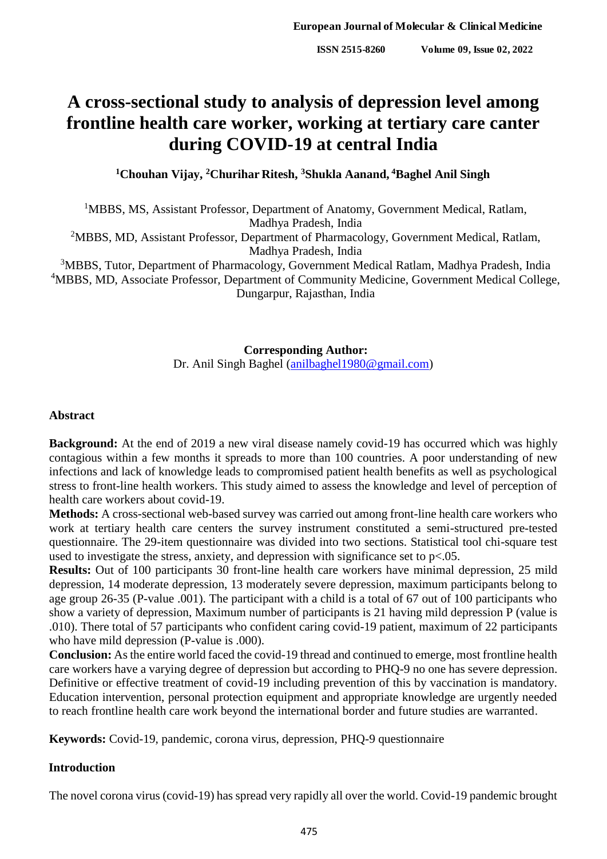# **A cross-sectional study to analysis of depression level among frontline health care worker, working at tertiary care canter during COVID-19 at central India**

**<sup>1</sup>Chouhan Vijay, <sup>2</sup>Churihar Ritesh, <sup>3</sup>Shukla Aanand, <sup>4</sup>Baghel Anil Singh**

<sup>1</sup>MBBS, MS, Assistant Professor, Department of Anatomy, Government Medical, Ratlam, Madhya Pradesh, India

<sup>2</sup>MBBS, MD, Assistant Professor, Department of Pharmacology, Government Medical, Ratlam, Madhya Pradesh, India

<sup>3</sup>MBBS, Tutor, Department of Pharmacology, Government Medical Ratlam, Madhya Pradesh, India <sup>4</sup>MBBS, MD, Associate Professor, Department of Community Medicine, Government Medical College, Dungarpur, Rajasthan, India

> **Corresponding Author:** Dr. Anil Singh Baghel [\(anilbaghel1980@gmail.com\)](mailto:anilbaghel1980@gmail.com)

#### **Abstract**

**Background:** At the end of 2019 a new viral disease namely covid-19 has occurred which was highly contagious within a few months it spreads to more than 100 countries. A poor understanding of new infections and lack of knowledge leads to compromised patient health benefits as well as psychological stress to front-line health workers. This study aimed to assess the knowledge and level of perception of health care workers about covid-19.

**Methods:** A cross-sectional web-based survey was carried out among front-line health care workers who work at tertiary health care centers the survey instrument constituted a semi-structured pre-tested questionnaire. The 29-item questionnaire was divided into two sections. Statistical tool chi-square test used to investigate the stress, anxiety, and depression with significance set to  $p<.05$ .

**Results:** Out of 100 participants 30 front-line health care workers have minimal depression, 25 mild depression, 14 moderate depression, 13 moderately severe depression, maximum participants belong to age group 26-35 (P-value .001). The participant with a child is a total of 67 out of 100 participants who show a variety of depression, Maximum number of participants is 21 having mild depression P (value is .010). There total of 57 participants who confident caring covid-19 patient, maximum of 22 participants who have mild depression (P-value is .000).

**Conclusion:** As the entire world faced the covid-19 thread and continued to emerge, most frontline health care workers have a varying degree of depression but according to PHQ-9 no one has severe depression. Definitive or effective treatment of covid-19 including prevention of this by vaccination is mandatory. Education intervention, personal protection equipment and appropriate knowledge are urgently needed to reach frontline health care work beyond the international border and future studies are warranted.

**Keywords:** Covid-19, pandemic, corona virus, depression, PHQ-9 questionnaire

#### **Introduction**

The novel corona virus (covid-19) has spread very rapidly all over the world. Covid-19 pandemic brought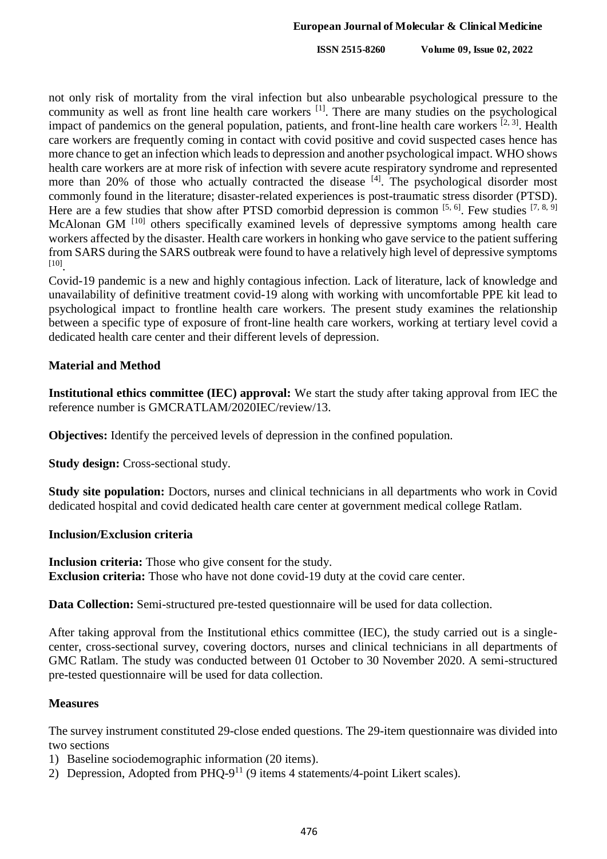**ISSN 2515-8260 Volume 09, Issue 02, 2022**

not only risk of mortality from the viral infection but also unbearable psychological pressure to the community as well as front line health care workers <sup>[1]</sup>. There are many studies on the psychological impact of pandemics on the general population, patients, and front-line health care workers <sup>[2, 3]</sup>. Health care workers are frequently coming in contact with covid positive and covid suspected cases hence has more chance to get an infection which leads to depression and another psychological impact. WHO shows health care workers are at more risk of infection with severe acute respiratory syndrome and represented more than 20% of those who actually contracted the disease <sup>[4]</sup>. The psychological disorder most commonly found in the literature; disaster-related experiences is post-traumatic stress disorder (PTSD). Here are a few studies that show after PTSD comorbid depression is common  $[5, 6]$ . Few studies  $[7, 8, 9]$ McAlonan GM<sup>[10]</sup> others specifically examined levels of depressive symptoms among health care workers affected by the disaster. Health care workers in honking who gave service to the patient suffering from SARS during the SARS outbreak were found to have a relatively high level of depressive symptoms [10] .

Covid-19 pandemic is a new and highly contagious infection. Lack of literature, lack of knowledge and unavailability of definitive treatment covid-19 along with working with uncomfortable PPE kit lead to psychological impact to frontline health care workers. The present study examines the relationship between a specific type of exposure of front-line health care workers, working at tertiary level covid a dedicated health care center and their different levels of depression.

# **Material and Method**

**Institutional ethics committee (IEC) approval:** We start the study after taking approval from IEC the reference number is GMCRATLAM/2020IEC/review/13.

**Objectives:** Identify the perceived levels of depression in the confined population.

**Study design:** Cross-sectional study.

**Study site population:** Doctors, nurses and clinical technicians in all departments who work in Covid dedicated hospital and covid dedicated health care center at government medical college Ratlam.

# **Inclusion/Exclusion criteria**

**Inclusion criteria:** Those who give consent for the study. **Exclusion criteria:** Those who have not done covid-19 duty at the covid care center.

**Data Collection:** Semi-structured pre-tested questionnaire will be used for data collection.

After taking approval from the Institutional ethics committee (IEC), the study carried out is a singlecenter, cross-sectional survey, covering doctors, nurses and clinical technicians in all departments of GMC Ratlam. The study was conducted between 01 October to 30 November 2020. A semi-structured pre-tested questionnaire will be used for data collection.

# **Measures**

The survey instrument constituted 29-close ended questions. The 29-item questionnaire was divided into two sections

- 1) Baseline sociodemographic information (20 items).
- 2) Depression, Adopted from PHQ-9<sup>11</sup> (9 items 4 statements/4-point Likert scales).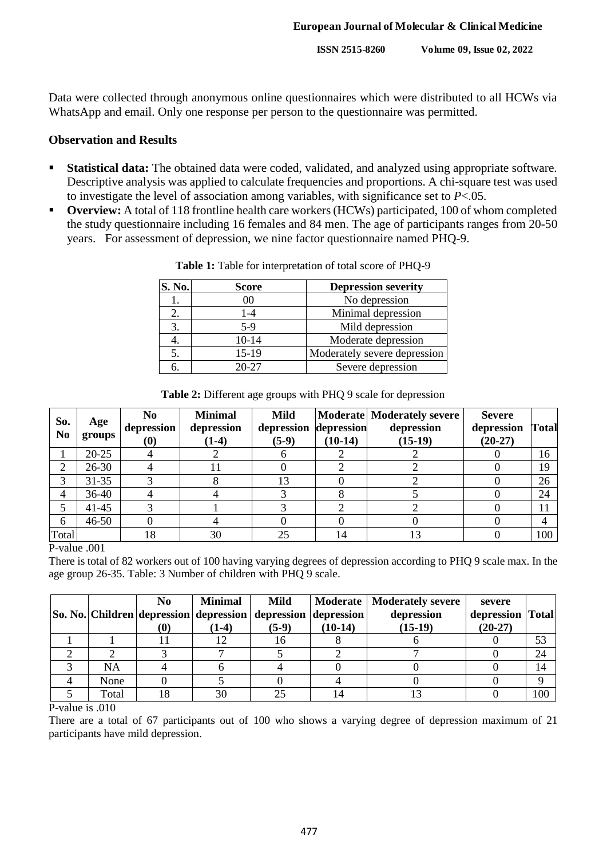**ISSN 2515-8260 Volume 09, Issue 02, 2022**

Data were collected through anonymous online questionnaires which were distributed to all HCWs via WhatsApp and email. Only one response per person to the questionnaire was permitted.

# **Observation and Results**

- **Statistical data:** The obtained data were coded, validated, and analyzed using appropriate software. Descriptive analysis was applied to calculate frequencies and proportions. A chi-square test was used to investigate the level of association among variables, with significance set to *P*<.05.
- **Overview:** A total of 118 frontline health care workers (HCWs) participated, 100 of whom completed the study questionnaire including 16 females and 84 men. The age of participants ranges from 20-50 years. For assessment of depression, we nine factor questionnaire named PHQ-9.

| S. No. | <b>Score</b> | <b>Depression severity</b>   |
|--------|--------------|------------------------------|
|        | 00           | No depression                |
| 2.     | 1-4          | Minimal depression           |
| 3.     | $5-9$        | Mild depression              |
| 4.     | $10-14$      | Moderate depression          |
| 5.     | 15-19        | Moderately severe depression |
| 6.     | $20 - 27$    | Severe depression            |

**Table 1:** Table for interpretation of total score of PHQ-9

|  | Table 2: Different age groups with PHQ 9 scale for depression |
|--|---------------------------------------------------------------|
|--|---------------------------------------------------------------|

| So.<br>N <sub>0</sub> | Age<br>groups | N <sub>0</sub><br>depression<br>$\boldsymbol{\left(0\right)}$ | <b>Minimal</b><br>depression<br>$(1-4)$ | <b>Mild</b><br>depression<br>$(5-9)$ | depression<br>$(10-14)$ | Moderate Moderately severe<br>depression<br>$(15-19)$ | <b>Severe</b><br>depression<br>$(20-27)$ | <b>Total</b> |
|-----------------------|---------------|---------------------------------------------------------------|-----------------------------------------|--------------------------------------|-------------------------|-------------------------------------------------------|------------------------------------------|--------------|
|                       | $20 - 25$     |                                                               |                                         |                                      |                         |                                                       |                                          | 16           |
| 2                     | $26 - 30$     |                                                               |                                         |                                      |                         |                                                       |                                          | 19           |
| 3                     | $31 - 35$     |                                                               |                                         | 13                                   |                         |                                                       |                                          | 26           |
| 4                     | 36-40         |                                                               |                                         |                                      |                         |                                                       |                                          | 24           |
| 5                     | $41 - 45$     |                                                               |                                         |                                      |                         |                                                       |                                          | 11           |
| 6                     | $46 - 50$     |                                                               |                                         |                                      |                         |                                                       |                                          |              |
| Total                 |               | 18                                                            | 30                                      | 25                                   | 14                      |                                                       |                                          | 100          |

P-value .001

There is total of 82 workers out of 100 having varying degrees of depression according to PHQ 9 scale max. In the age group 26-35. Table: 3 Number of children with PHQ 9 scale.

|       | No<br>(U) | <b>Minimal</b><br>$(1-4)$ | <b>Mild</b><br> So. No.   Children   depression   depression   depression   depression  <br>$(5-9)$ | $(10-14)$ | Moderate   Moderately severe<br>depression<br>$(15-19)$ | severe<br>depression Total<br>$(20-27)$ |     |
|-------|-----------|---------------------------|-----------------------------------------------------------------------------------------------------|-----------|---------------------------------------------------------|-----------------------------------------|-----|
|       |           |                           | 16                                                                                                  |           |                                                         |                                         | 53  |
|       |           |                           |                                                                                                     |           |                                                         |                                         | 24  |
| NA    |           |                           |                                                                                                     |           |                                                         |                                         | 14  |
| None  |           |                           |                                                                                                     |           |                                                         |                                         |     |
| Total |           | 30                        |                                                                                                     |           |                                                         |                                         | 100 |

P-value is .010

There are a total of 67 participants out of 100 who shows a varying degree of depression maximum of 21 participants have mild depression.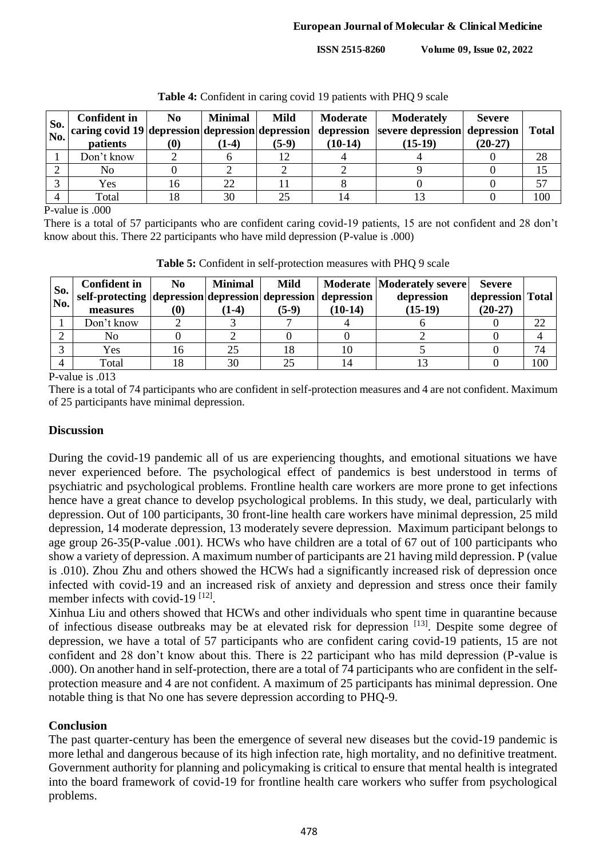**ISSN 2515-8260 Volume 09, Issue 02, 2022**

| So.<br>No. | <b>Confident in</b><br><i>patients</i> | N <sub>0</sub><br>0) | <b>Minimal</b><br>$(1-4)$ | <b>Mild</b><br>$(5-9)$ | Moderate<br>$(10-14)$ | <b>Moderately</b><br>$\frac{1}{2}$ caring covid 19 depression depression depression depression severe depression depression<br>$(15-19)$ | <b>Severe</b><br>$(20-27)$ | <b>Total</b> |
|------------|----------------------------------------|----------------------|---------------------------|------------------------|-----------------------|------------------------------------------------------------------------------------------------------------------------------------------|----------------------------|--------------|
|            | Don't know                             |                      |                           |                        |                       |                                                                                                                                          |                            | 28           |
|            | No                                     |                      |                           |                        |                       |                                                                                                                                          |                            |              |
|            | Yes                                    |                      | 22                        |                        |                       |                                                                                                                                          |                            |              |
|            | Total                                  |                      | 30                        |                        |                       |                                                                                                                                          |                            | 100          |

P-value is .000

There is a total of 57 participants who are confident caring covid-19 patients, 15 are not confident and 28 don't know about this. There 22 participants who have mild depression (P-value is .000)

| So.<br>No. | <b>Confident in</b><br>self-protecting depression depression depression depression<br>measures | No<br>(0) | <b>Minimal</b><br>$(1-4)$ | Mild<br>$(5-9)$ | $(10-14)$ | Moderate   Moderately severe  <br>depression<br>$(15-19)$ | <b>Severe</b><br>depression Total<br>$(20-27)$ |     |
|------------|------------------------------------------------------------------------------------------------|-----------|---------------------------|-----------------|-----------|-----------------------------------------------------------|------------------------------------------------|-----|
|            | Don't know                                                                                     |           |                           |                 |           |                                                           |                                                | 22  |
|            | No                                                                                             |           |                           |                 |           |                                                           |                                                |     |
|            | Yes                                                                                            |           | 25                        |                 | 10        |                                                           |                                                | 74  |
|            | Total                                                                                          |           | 30                        | つく              | 14        |                                                           |                                                | 100 |

**Table 5:** Confident in self-protection measures with PHQ 9 scale

P-value is .013

There is a total of 74 participants who are confident in self-protection measures and 4 are not confident. Maximum of 25 participants have minimal depression.

# **Discussion**

During the covid-19 pandemic all of us are experiencing thoughts, and emotional situations we have never experienced before. The psychological effect of pandemics is best understood in terms of psychiatric and psychological problems. Frontline health care workers are more prone to get infections hence have a great chance to develop psychological problems. In this study, we deal, particularly with depression. Out of 100 participants, 30 front-line health care workers have minimal depression, 25 mild depression, 14 moderate depression, 13 moderately severe depression. Maximum participant belongs to age group 26-35(P-value .001). HCWs who have children are a total of 67 out of 100 participants who show a variety of depression. A maximum number of participants are 21 having mild depression. P (value is .010). Zhou Zhu and others showed the HCWs had a significantly increased risk of depression once infected with covid-19 and an increased risk of anxiety and depression and stress once their family member infects with covid-19<sup>[12]</sup>.

Xinhua Liu and others showed that HCWs and other individuals who spent time in quarantine because of infectious disease outbreaks may be at elevated risk for depression [13]. Despite some degree of depression, we have a total of 57 participants who are confident caring covid-19 patients, 15 are not confident and 28 don't know about this. There is 22 participant who has mild depression (P-value is .000). On another hand in self-protection, there are a total of 74 participants who are confident in the selfprotection measure and 4 are not confident. A maximum of 25 participants has minimal depression. One notable thing is that No one has severe depression according to PHQ-9.

# **Conclusion**

The past quarter-century has been the emergence of several new diseases but the covid-19 pandemic is more lethal and dangerous because of its high infection rate, high mortality, and no definitive treatment. Government authority for planning and policymaking is critical to ensure that mental health is integrated into the board framework of covid-19 for frontline health care workers who suffer from psychological problems.